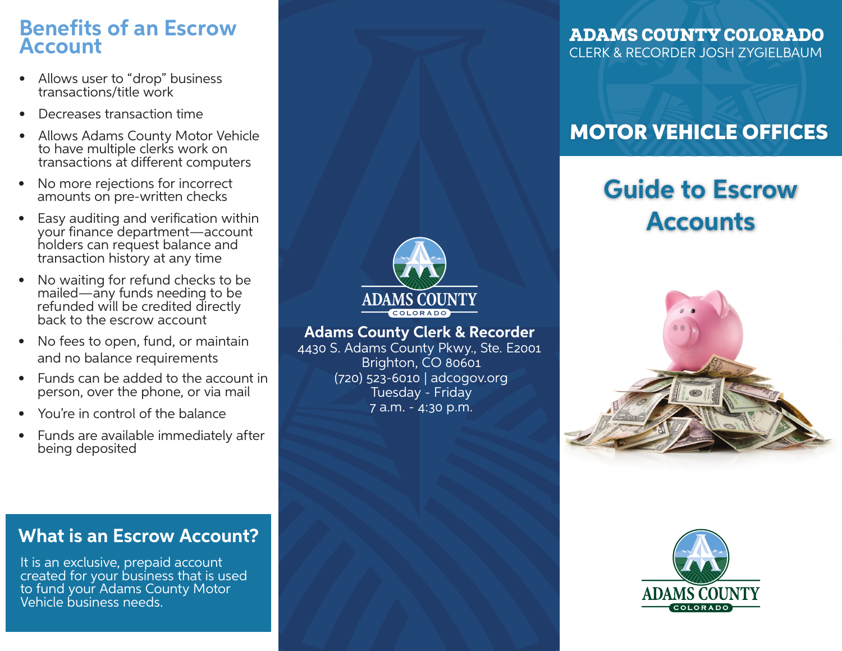### **Benefits of an Escrow Account**

- Allows user to "drop" business transactions/title work
- Decreases transaction time
- Allows Adams County Motor Vehicle to have multiple clerks work on transactions at different computers
- No more rejections for incorrect amounts on pre-written checks
- Easy auditing and verification within your finance department—account holders can request balance and transaction history at any time
- No waiting for refund checks to be mailed—any funds needing to be refunded will be credited directly back to the escrow account
- No fees to open, fund, or maintain and no balance requirements
- Funds can be added to the account in person, over the phone, or via mail
- You're in control of the balance
- Funds are available immediately after being deposited



**Adams County Clerk & Recorder**

4430 S. Adams County Pkwy., Ste. E2001 Brighton, CO 80601 (720) 523-6010 | adcogov.org Tuesday - Friday 7 a.m. - 4:30 p.m.

### ADAMS COUNTY COLORADO CLERK & RECORDER JOSH ZYGIELBAUM

# MOTOR VEHICLE OFFICES

# **Guide to Escrow Accounts**





### **What is an Escrow Account?**

It is an exclusive, prepaid account created for your business that is used to fund your Adams County Motor Vehicle business needs.